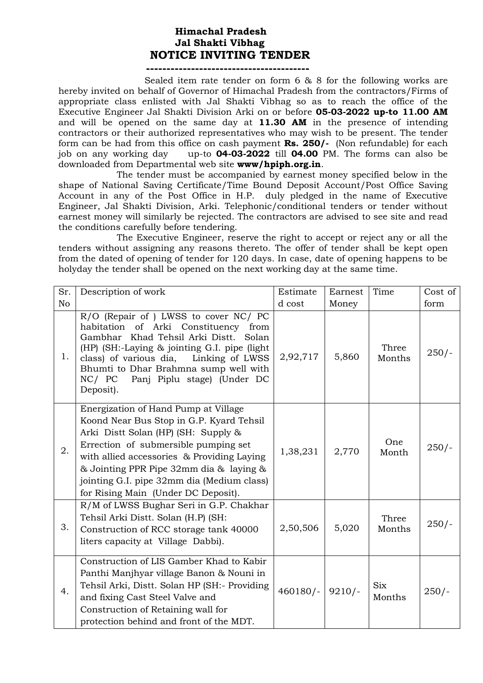## **Himachal Pradesh Jal Shakti Vibhag NOTICE INVITING TENDER**

#### **----------------------------------------**

 Sealed item rate tender on form 6 & 8 for the following works are hereby invited on behalf of Governor of Himachal Pradesh from the contractors/Firms of appropriate class enlisted with Jal Shakti Vibhag so as to reach the office of the Executive Engineer Jal Shakti Division Arki on or before **05-03-2022 up-to 11.00 AM**  and will be opened on the same day at **11.30 AM** in the presence of intending contractors or their authorized representatives who may wish to be present. The tender form can be had from this office on cash payment **Rs. 250/-** (Non refundable) for each job on any working day up-to **04-03-2022** till **04.00** PM. The forms can also be downloaded from Departmental web site **www/hpiph.org.in**.

The tender must be accompanied by earnest money specified below in the shape of National Saving Certificate/Time Bound Deposit Account/Post Office Saving Account in any of the Post Office in H.P. duly pledged in the name of Executive Engineer, Jal Shakti Division, Arki. Telephonic/conditional tenders or tender without earnest money will similarly be rejected. The contractors are advised to see site and read the conditions carefully before tendering.

The Executive Engineer, reserve the right to accept or reject any or all the tenders without assigning any reasons thereto. The offer of tender shall be kept open from the dated of opening of tender for 120 days. In case, date of opening happens to be holyday the tender shall be opened on the next working day at the same time.

| Sr.            | Description of work                                                                                                                                                                                                                                                                                                                           | Estimate          | Earnest | Time                 | Cost of |
|----------------|-----------------------------------------------------------------------------------------------------------------------------------------------------------------------------------------------------------------------------------------------------------------------------------------------------------------------------------------------|-------------------|---------|----------------------|---------|
| N <sub>o</sub> |                                                                                                                                                                                                                                                                                                                                               | d cost            | Money   |                      | form    |
| 1.             | R/O (Repair of ) LWSS to cover NC/ PC<br>habitation of Arki Constituency<br>from<br>Gambhar Khad Tehsil Arki Distt.<br>Solan<br>(HP) (SH:-Laying & jointing G.I. pipe (light)<br>class) of various dia, Linking of LWSS<br>Bhumti to Dhar Brahmna sump well with<br>NC/ PC Panj Piplu stage) (Under DC<br>Deposit).                           | 2,92,717          | 5,860   | Three<br>Months      | $250/-$ |
| 2.             | Energization of Hand Pump at Village<br>Koond Near Bus Stop in G.P. Kyard Tehsil<br>Arki Distt Solan (HP) (SH: Supply &<br>Errection of submersible pumping set<br>with allied accessories & Providing Laying<br>& Jointing PPR Pipe 32mm dia & laying &<br>jointing G.I. pipe 32mm dia (Medium class)<br>for Rising Main (Under DC Deposit). | 1,38,231          | 2,770   | One<br>Month         | $250/-$ |
| 3.             | R/M of LWSS Bughar Seri in G.P. Chakhar<br>Tehsil Arki Distt. Solan (H.P) (SH:<br>Construction of RCC storage tank 40000<br>liters capacity at Village Dabbi).                                                                                                                                                                                | 2,50,506          | 5,020   | Three<br>Months      | $250/-$ |
| 4.             | Construction of LIS Gamber Khad to Kabir<br>Panthi Manjhyar village Banon & Nouni in<br>Tehsil Arki, Distt. Solan HP (SH:- Providing<br>and fixing Cast Steel Valve and<br>Construction of Retaining wall for<br>protection behind and front of the MDT.                                                                                      | $460180/-$ 9210/- |         | <b>Six</b><br>Months | $250/-$ |